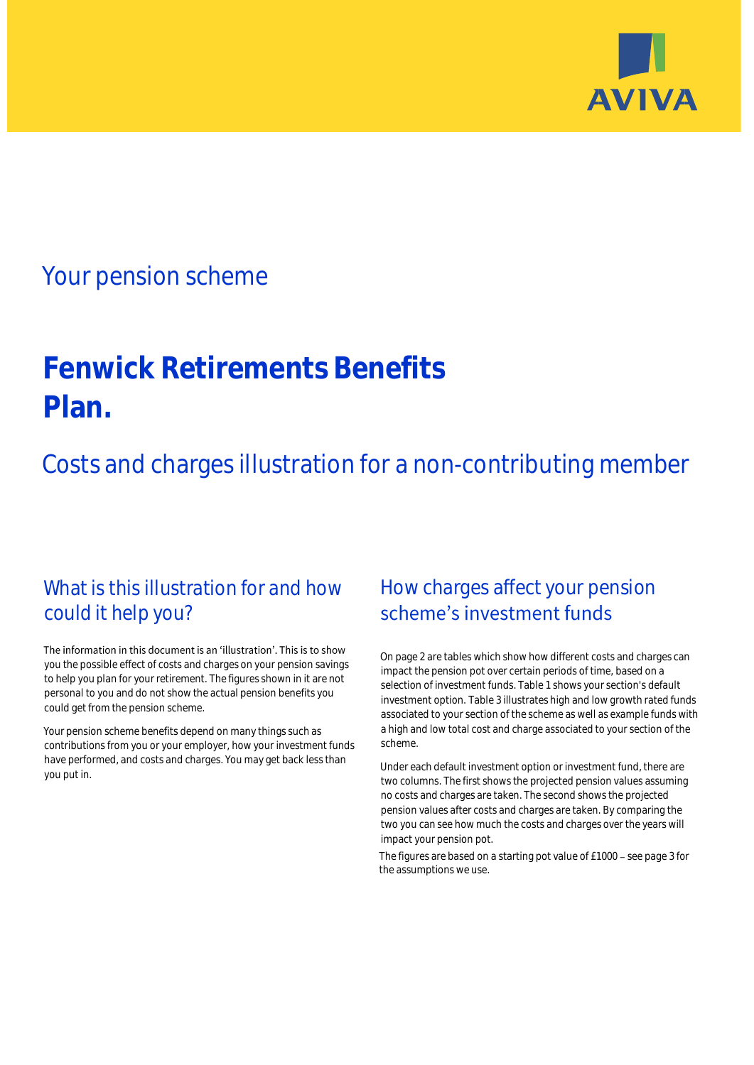

# Your pension scheme

# **Fenwick Retirements Benefits Plan.**

Costs and charges illustration for a non-contributing member

# What is this illustration for and how could it help you?

### The information in this document is an 'illustration'. This is to show you the possible effect of costs and charges on your pension savings to help you plan for your retirement. The figures shown in it are not personal to you and do not show the actual pension benefits you could get from the pension scheme.

Your pension scheme benefits depend on many things such as contributions from you or your employer, how your investment funds have performed, and costs and charges. You may get back less than you put in.

# How charges affect your pension scheme's investment funds

On page 2 are tables which show how different costs and charges can impact the pension pot over certain periods of time, based on a selection of investment funds. Table 1 shows your section's default investment option. Table 3 illustrates high and low growth rated funds associated to your section of the scheme as well as example funds with a high and low total cost and charge associated to your section of the scheme.

Under each default investment option or investment fund, there are two columns. The first shows the projected pension values assuming no costs and charges are taken. The second shows the projected pension values after costs and charges are taken. By comparing the two you can see how much the costs and charges over the years will impact your pension pot.

The figures are based on a starting pot value of £1000 - see page 3 for the assumptions we use.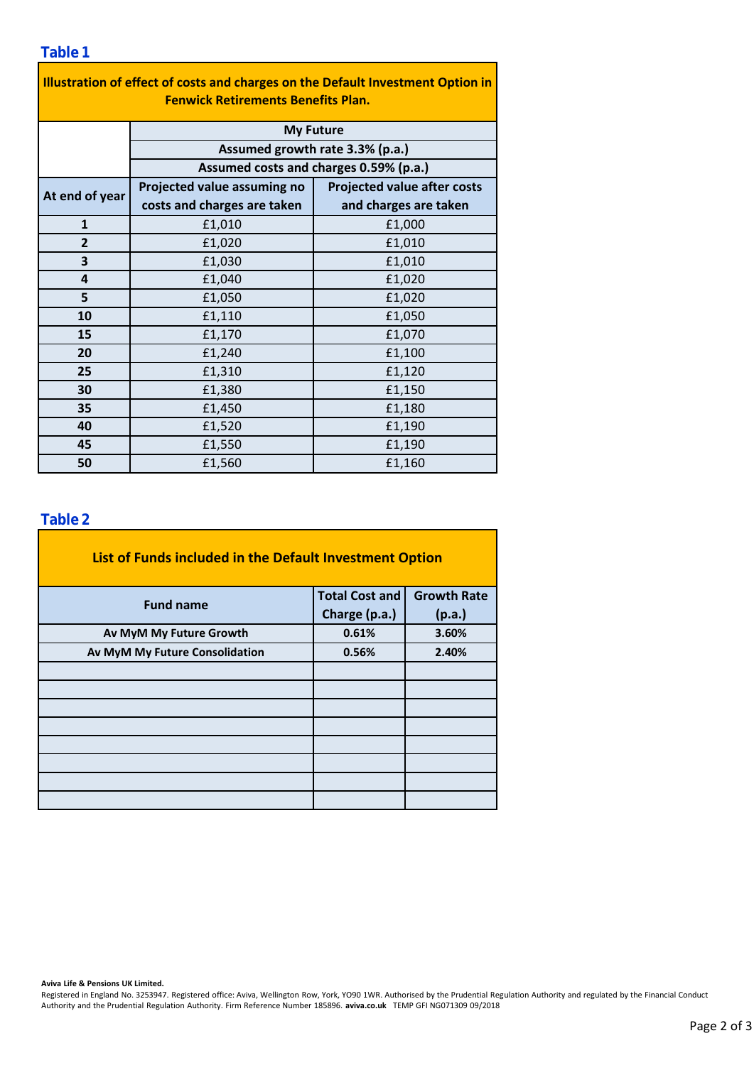### **Table 1**

| Illustration of effect of costs and charges on the Default Investment Option in<br><b>Fenwick Retirements Benefits Plan.</b> |                                        |                                    |  |  |  |  |  |  |
|------------------------------------------------------------------------------------------------------------------------------|----------------------------------------|------------------------------------|--|--|--|--|--|--|
|                                                                                                                              | <b>My Future</b>                       |                                    |  |  |  |  |  |  |
|                                                                                                                              | Assumed growth rate 3.3% (p.a.)        |                                    |  |  |  |  |  |  |
|                                                                                                                              | Assumed costs and charges 0.59% (p.a.) |                                    |  |  |  |  |  |  |
| At end of year                                                                                                               | Projected value assuming no            | <b>Projected value after costs</b> |  |  |  |  |  |  |
|                                                                                                                              | costs and charges are taken            | and charges are taken              |  |  |  |  |  |  |
| $\mathbf{1}$                                                                                                                 | £1,010                                 | £1,000                             |  |  |  |  |  |  |
| $\overline{2}$                                                                                                               | £1,020                                 | £1,010                             |  |  |  |  |  |  |
| 3                                                                                                                            | £1,030                                 | £1,010                             |  |  |  |  |  |  |
| 4                                                                                                                            | £1,040                                 | £1,020                             |  |  |  |  |  |  |
| 5                                                                                                                            | £1,050                                 | £1,020                             |  |  |  |  |  |  |
| 10                                                                                                                           | £1,110                                 | £1,050                             |  |  |  |  |  |  |
| 15                                                                                                                           | £1,170                                 | £1,070                             |  |  |  |  |  |  |
| 20                                                                                                                           | £1,240                                 | £1,100                             |  |  |  |  |  |  |
| 25                                                                                                                           | £1,310                                 | £1,120                             |  |  |  |  |  |  |
| 30                                                                                                                           | £1,380                                 | £1,150                             |  |  |  |  |  |  |
| 35                                                                                                                           | £1,450                                 | £1,180                             |  |  |  |  |  |  |
| 40                                                                                                                           | £1,520                                 | £1,190                             |  |  |  |  |  |  |
| 45                                                                                                                           | £1,550                                 | £1,190                             |  |  |  |  |  |  |
| 50                                                                                                                           | £1,560                                 | £1,160                             |  |  |  |  |  |  |

### **Table 2**

| List of Funds included in the Default Investment Option |                       |                    |  |  |  |  |  |  |
|---------------------------------------------------------|-----------------------|--------------------|--|--|--|--|--|--|
| <b>Fund name</b>                                        | <b>Total Cost and</b> | <b>Growth Rate</b> |  |  |  |  |  |  |
|                                                         | Charge (p.a.)         | (p.a.)             |  |  |  |  |  |  |
| Av MyM My Future Growth                                 | 0.61%                 | 3.60%              |  |  |  |  |  |  |
| Av MyM My Future Consolidation                          | 0.56%                 | 2.40%              |  |  |  |  |  |  |
|                                                         |                       |                    |  |  |  |  |  |  |
|                                                         |                       |                    |  |  |  |  |  |  |
|                                                         |                       |                    |  |  |  |  |  |  |
|                                                         |                       |                    |  |  |  |  |  |  |
|                                                         |                       |                    |  |  |  |  |  |  |
|                                                         |                       |                    |  |  |  |  |  |  |
|                                                         |                       |                    |  |  |  |  |  |  |
|                                                         |                       |                    |  |  |  |  |  |  |

#### **Aviva Life & Pensions UK Limited.**

Registered in England No. 3253947. Registered office: Aviva, Wellington Row, York, YO90 1WR. Authorised by the Prudential Regulation Authority and regulated by the Financial Conduct Authority and the Prudential Regulation Authority. Firm Reference Number 185896. **aviva.co.uk** TEMP GFI NG071309 09/2018